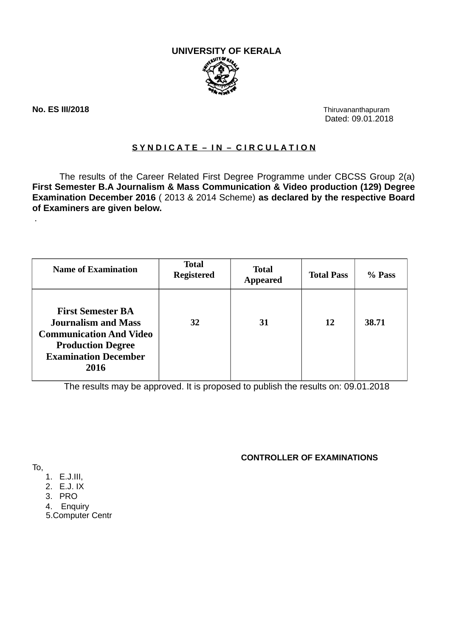**UNIVERSITY OF KERALA**



**No. ES III/2018** Thiruvananthapuram

.

Dated: 09.01.2018

## **S Y N D I C A T E – I N – C I R C U L A T I O N**

The results of the Career Related First Degree Programme under CBCSS Group 2(a) **First Semester B.A Journalism & Mass Communication & Video production (129) Degree Examination December 2016** ( 2013 & 2014 Scheme) **as declared by the respective Board of Examiners are given below.**

| <b>Name of Examination</b>                                                                                                                                  | <b>Total</b><br><b>Registered</b> | <b>Total</b><br><b>Appeared</b> | <b>Total Pass</b> | % Pass |
|-------------------------------------------------------------------------------------------------------------------------------------------------------------|-----------------------------------|---------------------------------|-------------------|--------|
| <b>First Semester BA</b><br><b>Journalism and Mass</b><br><b>Communication And Video</b><br><b>Production Degree</b><br><b>Examination December</b><br>2016 | 32                                | 31                              | 12                | 38.71  |

The results may be approved. It is proposed to publish the results on: 09.01.2018

## **CONTROLLER OF EXAMINATIONS**

To,

- 1. E.J.III,
- 2. E.J. IX
- 3. PRO
- 4. Enquiry

5.Computer Centr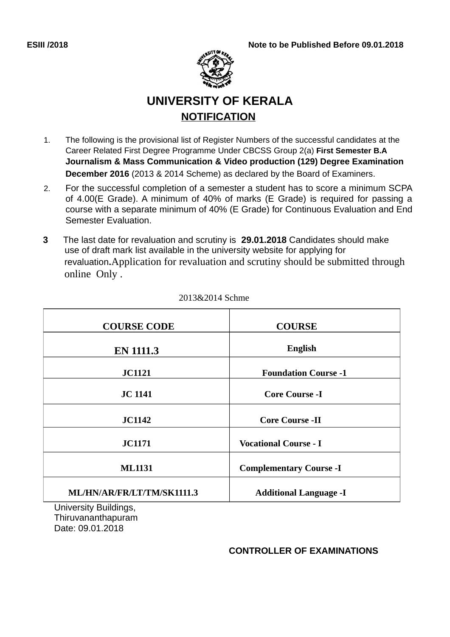

# **UNIVERSITY OF KERALA NOTIFICATION**

- 1. The following is the provisional list of Register Numbers of the successful candidates at the Career Related First Degree Programme Under CBCSS Group 2(a) **First Semester B.A Journalism & Mass Communication & Video production (129) Degree Examination December 2016** (2013 & 2014 Scheme) as declared by the Board of Examiners.
- 2. For the successful completion of a semester a student has to score a minimum SCPA of 4.00(E Grade). A minimum of 40% of marks (E Grade) is required for passing a course with a separate minimum of 40% (E Grade) for Continuous Evaluation and End Semester Evaluation.
- **3** The last date for revaluation and scrutiny is **29.01.2018** Candidates should make use of draft mark list available in the university website for applying for revaluation**.**Application for revaluation and scrutiny should be submitted through online Only .

| <b>COURSE CODE</b>                                                                                                                                                                                                             | <b>COURSE</b>                  |  |  |  |
|--------------------------------------------------------------------------------------------------------------------------------------------------------------------------------------------------------------------------------|--------------------------------|--|--|--|
| <b>EN 1111.3</b>                                                                                                                                                                                                               | <b>English</b>                 |  |  |  |
| <b>JC1121</b>                                                                                                                                                                                                                  | <b>Foundation Course -1</b>    |  |  |  |
| <b>JC 1141</b>                                                                                                                                                                                                                 | <b>Core Course -I</b>          |  |  |  |
| <b>JC1142</b>                                                                                                                                                                                                                  | <b>Core Course -II</b>         |  |  |  |
| <b>JC1171</b>                                                                                                                                                                                                                  | <b>Vocational Course - I</b>   |  |  |  |
| <b>ML1131</b>                                                                                                                                                                                                                  | <b>Complementary Course -I</b> |  |  |  |
| ML/HN/AR/FR/LT/TM/SK1111.3                                                                                                                                                                                                     | <b>Additional Language -I</b>  |  |  |  |
| the company of the state of the company of the company of the company of the company of the company of the company of the company of the company of the company of the company of the company of the company of the company of |                                |  |  |  |

### 2013&2014 Schme

University Buildings, Thiruvananthapuram Date: 09.01.2018

## **CONTROLLER OF EXAMINATIONS**